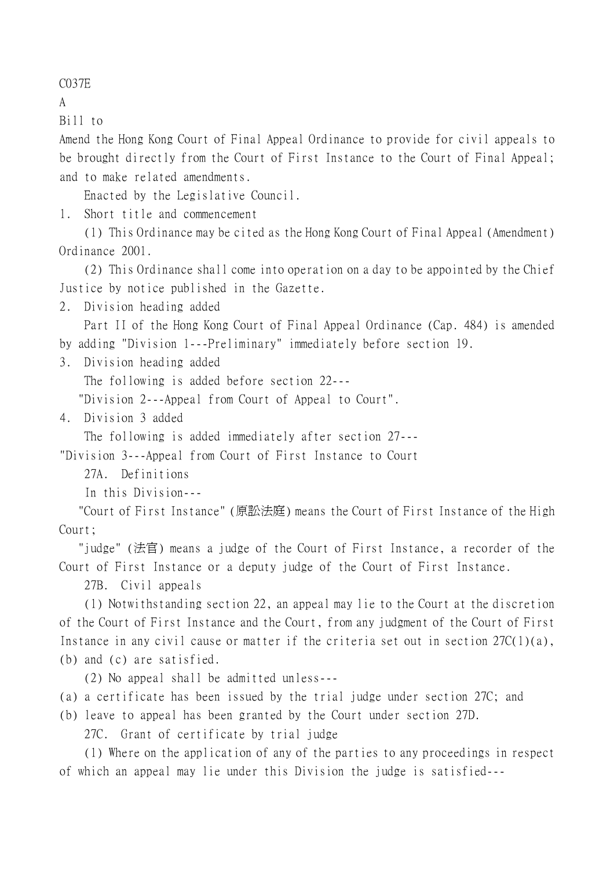C037E

A

Bill to

Amend the Hong Kong Court of Final Appeal Ordinance to provide for civil appeals to be brought directly from the Court of First Instance to the Court of Final Appeal; and to make related amendments.

Enacted by the Legislative Council.

1. Short title and commencement

(1) This Ordinance may be cited as the Hong Kong Court of Final Appeal (Amendment) Ordinance 2001.

(2) This Ordinance shall come into operation on a day to be appointed by the Chief Justice by notice published in the Gazette.

2. Division heading added

Part II of the Hong Kong Court of Final Appeal Ordinance (Cap. 484) is amended by adding "Division 1---Preliminary" immediately before section 19.

3. Division heading added

The following is added before section 22---

"Division 2---Appeal from Court of Appeal to Court".

4. Division 3 added

The following is added immediately after section 27---

"Division 3---Appeal from Court of First Instance to Court

27A. Definitions

In this Division---

 "Court of First Instance" (原訟法庭) means the Court of First Instance of the High Court;

 "judge" (法官) means a judge of the Court of First Instance, a recorder of the Court of First Instance or a deputy judge of the Court of First Instance.

27B. Civil appeals

(1) Notwithstanding section 22, an appeal may lie to the Court at the discretion of the Court of First Instance and the Court, from any judgment of the Court of First Instance in any civil cause or matter if the criteria set out in section 27C(1)(a), (b) and (c) are satisfied.

(2) No appeal shall be admitted unless---

(a) a certificate has been issued by the trial judge under section 27C; and

(b) leave to appeal has been granted by the Court under section 27D.

27C. Grant of certificate by trial judge

(1) Where on the application of any of the parties to any proceedings in respect of which an appeal may lie under this Division the judge is satisfied---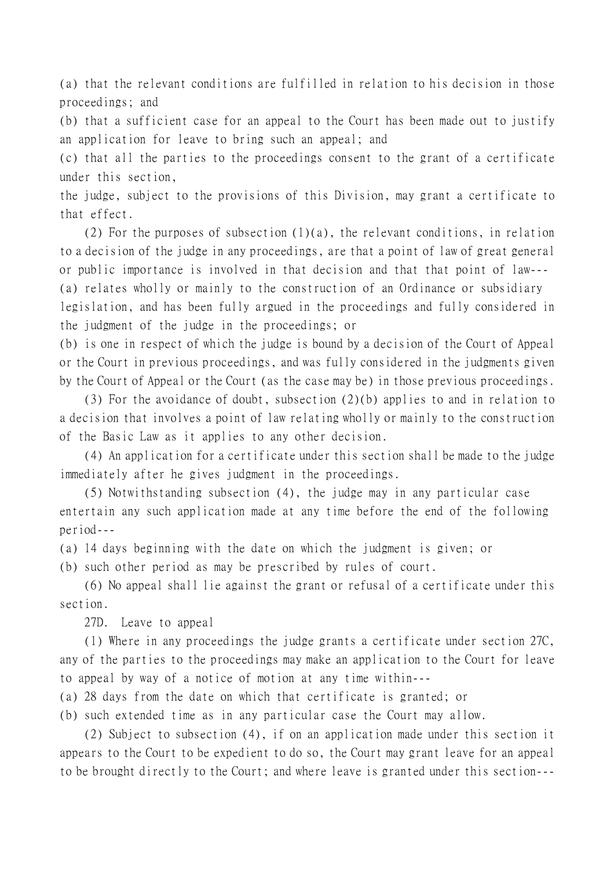(a) that the relevant conditions are fulfilled in relation to his decision in those proceedings; and

(b) that a sufficient case for an appeal to the Court has been made out to justify an application for leave to bring such an appeal; and

(c) that all the parties to the proceedings consent to the grant of a certificate under this section,

the judge, subject to the provisions of this Division, may grant a certificate to that effect.

(2) For the purposes of subsection  $(1)(a)$ , the relevant conditions, in relation to a decision of the judge in any proceedings, are that a point of law of great general or public importance is involved in that decision and that that point of law--- (a) relates wholly or mainly to the construction of an Ordinance or subsidiary legislation, and has been fully argued in the proceedings and fully considered in the judgment of the judge in the proceedings; or

(b) is one in respect of which the judge is bound by a decision of the Court of Appeal or the Court in previous proceedings, and was fully considered in the judgments given by the Court of Appeal or the Court (as the case may be) in those previous proceedings.

(3) For the avoidance of doubt, subsection (2)(b) applies to and in relation to a decision that involves a point of law relating wholly or mainly to the construction of the Basic Law as it applies to any other decision.

(4) An application for a certificate under this section shall be made to the judge immediately after he gives judgment in the proceedings.

(5) Notwithstanding subsection (4), the judge may in any particular case entertain any such application made at any time before the end of the following period---

(a) 14 days beginning with the date on which the judgment is given; or

(b) such other period as may be prescribed by rules of court.

(6) No appeal shall lie against the grant or refusal of a certificate under this section.

27D. Leave to appeal

(1) Where in any proceedings the judge grants a certificate under section 27C, any of the parties to the proceedings may make an application to the Court for leave to appeal by way of a notice of motion at any time within---

(a) 28 days from the date on which that certificate is granted; or

(b) such extended time as in any particular case the Court may allow.

(2) Subject to subsection (4), if on an application made under this section it appears to the Court to be expedient to do so, the Court may grant leave for an appeal to be brought directly to the Court; and where leave is granted under this section---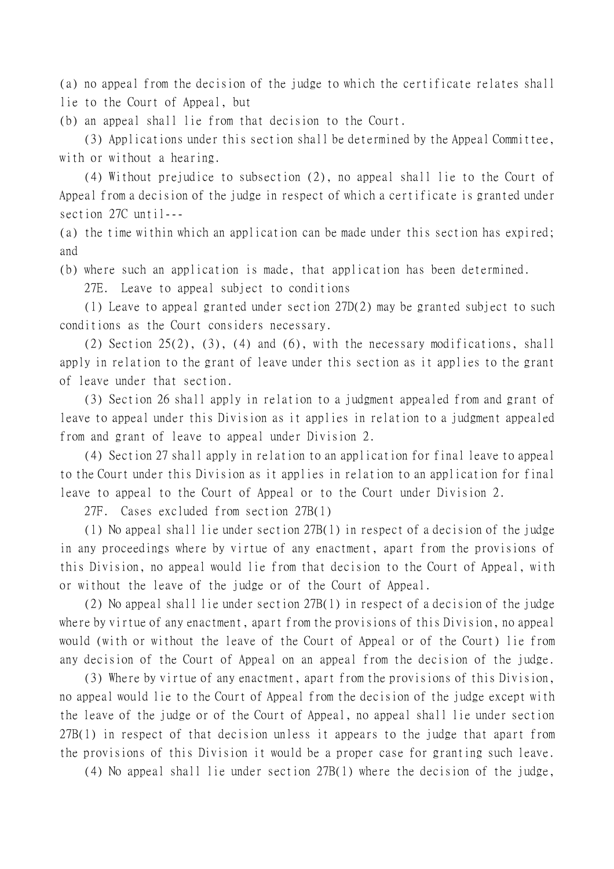(a) no appeal from the decision of the judge to which the certificate relates shall lie to the Court of Appeal, but

(b) an appeal shall lie from that decision to the Court.

(3) Applications under this section shall be determined by the Appeal Committee, with or without a hearing.

(4) Without prejudice to subsection (2), no appeal shall lie to the Court of Appeal from a decision of the judge in respect of which a certificate is granted under section 27C until---

(a) the time within which an application can be made under this section has expired; and

(b) where such an application is made, that application has been determined.

27E. Leave to appeal subject to conditions

(1) Leave to appeal granted under section 27D(2) may be granted subject to such conditions as the Court considers necessary.

(2) Section 25(2), (3), (4) and (6), with the necessary modifications, shall apply in relation to the grant of leave under this section as it applies to the grant of leave under that section.

(3) Section 26 shall apply in relation to a judgment appealed from and grant of leave to appeal under this Division as it applies in relation to a judgment appealed from and grant of leave to appeal under Division 2.

(4) Section 27 shall apply in relation to an application for final leave to appeal to the Court under this Division as it applies in relation to an application for final leave to appeal to the Court of Appeal or to the Court under Division 2.

27F. Cases excluded from section 27B(1)

(1) No appeal shall lie under section 27B(1) in respect of a decision of the judge in any proceedings where by virtue of any enactment, apart from the provisions of this Division, no appeal would lie from that decision to the Court of Appeal, with or without the leave of the judge or of the Court of Appeal.

(2) No appeal shall lie under section 27B(1) in respect of a decision of the judge where by virtue of any enactment, apart from the provisions of this Division, no appeal would (with or without the leave of the Court of Appeal or of the Court) lie from any decision of the Court of Appeal on an appeal from the decision of the judge.

(3) Where by virtue of any enactment, apart from the provisions of this Division, no appeal would lie to the Court of Appeal from the decision of the judge except with the leave of the judge or of the Court of Appeal, no appeal shall lie under section 27B(1) in respect of that decision unless it appears to the judge that apart from the provisions of this Division it would be a proper case for granting such leave.

(4) No appeal shall lie under section 27B(1) where the decision of the judge,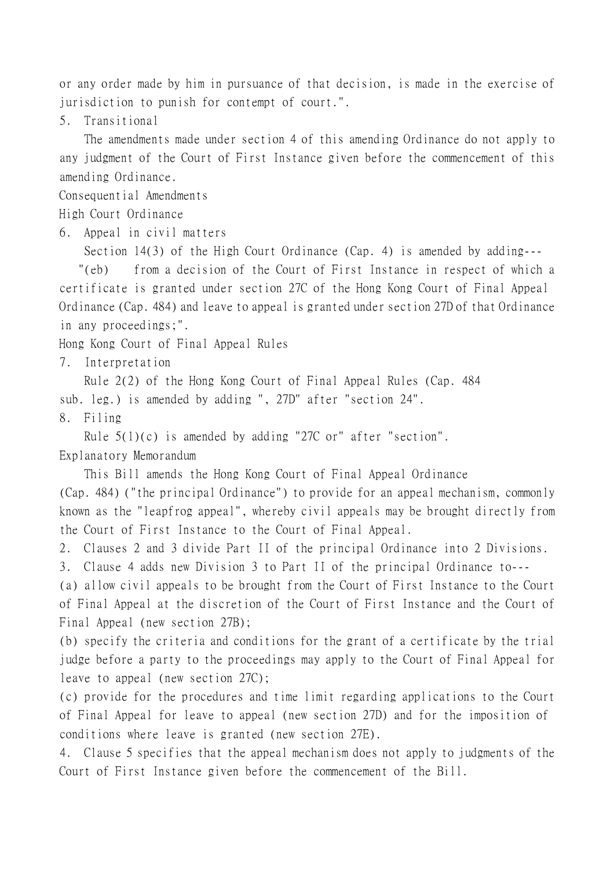or any order made by him in pursuance of that decision, is made in the exercise of jurisdiction to punish for contempt of court.".

5. Transitional

The amendments made under section 4 of this amending Ordinance do not apply to any judgment of the Court of First Instance given before the commencement of this amending Ordinance.

Consequential Amendments

High Court Ordinance

6. Appeal in civil matters

Section 14(3) of the High Court Ordinance (Cap. 4) is amended by adding---

 "(eb) from a decision of the Court of First Instance in respect of which a certificate is granted under section 27C of the Hong Kong Court of Final Appeal Ordinance (Cap. 484) and leave to appeal is granted under section 27D of that Ordinance in any proceedings;".

Hong Kong Court of Final Appeal Rules

7. Interpretation

Rule 2(2) of the Hong Kong Court of Final Appeal Rules (Cap. 484

sub. leg.) is amended by adding ", 27D" after "section 24".

8. Filing

Rule 5(1)(c) is amended by adding "27C or" after "section".

Explanatory Memorandum

This Bill amends the Hong Kong Court of Final Appeal Ordinance (Cap. 484) ("the principal Ordinance") to provide for an appeal mechanism, commonly known as the "leapfrog appeal", whereby civil appeals may be brought directly from the Court of First Instance to the Court of Final Appeal.

2. Clauses 2 and 3 divide Part II of the principal Ordinance into 2 Divisions.

3. Clause 4 adds new Division 3 to Part II of the principal Ordinance to---

(a) allow civil appeals to be brought from the Court of First Instance to the Court of Final Appeal at the discretion of the Court of First Instance and the Court of Final Appeal (new section 27B);

(b) specify the criteria and conditions for the grant of a certificate by the trial judge before a party to the proceedings may apply to the Court of Final Appeal for leave to appeal (new section 27C);

(c) provide for the procedures and time limit regarding applications to the Court of Final Appeal for leave to appeal (new section 27D) and for the imposition of conditions where leave is granted (new section 27E).

4. Clause 5 specifies that the appeal mechanism does not apply to judgments of the Court of First Instance given before the commencement of the Bill.